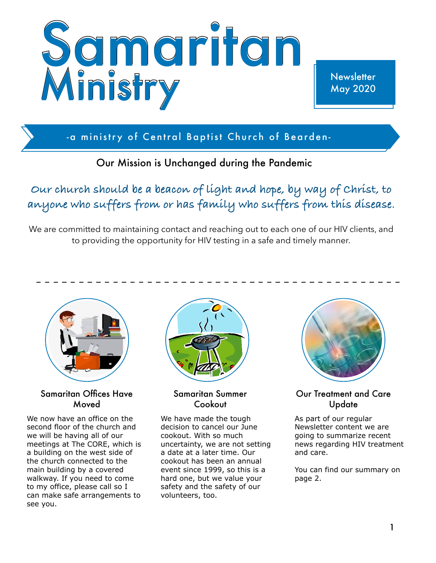

**Newsletter** May 2020

-a ministry of Central Baptist Church of Bearden-

## Our Mission is Unchanged during the Pandemic

**Our church should be a beacon of light and hope, by way of Christ, to anyone who suffers from or has family who suffers from this disease.** 

We are committed to maintaining contact and reaching out to each one of our HIV clients, and to providing the opportunity for HIV testing in a safe and timely manner.



Samaritan Offices Have Moved

We now have an office on the second floor of the church and we will be having all of our meetings at The CORE, which is a building on the west side of the church connected to the main building by a covered walkway. If you need to come to my office, please call so I can make safe arrangements to see you.



#### Samaritan Summer Cookout

We have made the tough decision to cancel our June cookout. With so much uncertainty, we are not setting a date at a later time. Our cookout has been an annual event since 1999, so this is a hard one, but we value your safety and the safety of our volunteers, too.



#### Our Treatment and Care Update

As part of our regular Newsletter content we are going to summarize recent news regarding HIV treatment and care.

You can find our summary on page 2.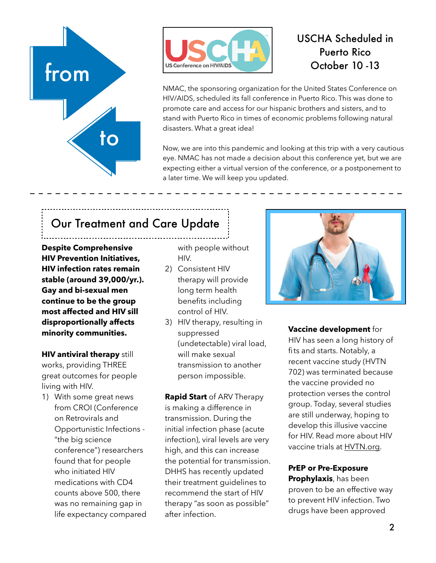



## USCHA Scheduled in Puerto Rico October 10 -13

NMAC, the sponsoring organization for the United States Conference on HIV/AIDS, scheduled its fall conference in Puerto Rico. This was done to promote care and access for our hispanic brothers and sisters, and to stand with Puerto Rico in times of economic problems following natural disasters. What a great idea!

Now, we are into this pandemic and looking at this trip with a very cautious eye. NMAC has not made a decision about this conference yet, but we are expecting either a virtual version of the conference, or a postponement to a later time. We will keep you updated.

# Our Treatment and Care Update

**Despite Comprehensive HIV Prevention Initiatives, HIV infection rates remain stable (around 39,000/yr.). Gay and bi-sexual men continue to be the group most affected and HIV sill disproportionally affects minority communities.** 

**HIV antiviral therapy** still works, providing THREE great outcomes for people living with HIV.

1) With some great news from CROI (Conference on Retrovirals and Opportunistic Infections - "the big science conference") researchers found that for people who initiated HIV medications with CD4 counts above 500, there was no remaining gap in life expectancy compared with people without HIV.

- 2) Consistent HIV therapy will provide long term health benefits including control of HIV.
- 3) HIV therapy, resulting in suppressed (undetectable) viral load, will make sexual transmission to another person impossible.

**Rapid Start** of ARV Therapy is making a difference in transmission. During the initial infection phase (acute infection), viral levels are very high, and this can increase the potential for transmission. DHHS has recently updated their treatment guidelines to recommend the start of HIV therapy "as soon as possible" after infection.



**Vaccine development** for

HIV has seen a long history of fits and starts. Notably, a recent vaccine study (HVTN 702) was terminated because the vaccine provided no protection verses the control group. Today, several studies are still underway, hoping to develop this illusive vaccine for HIV. Read more about HIV vaccine trials at [HVTN.org.](http://HVTN.org)

### **PrEP or Pre-Exposure**

**Prophylaxis**, has been proven to be an effective way to prevent HIV infection. Two drugs have been approved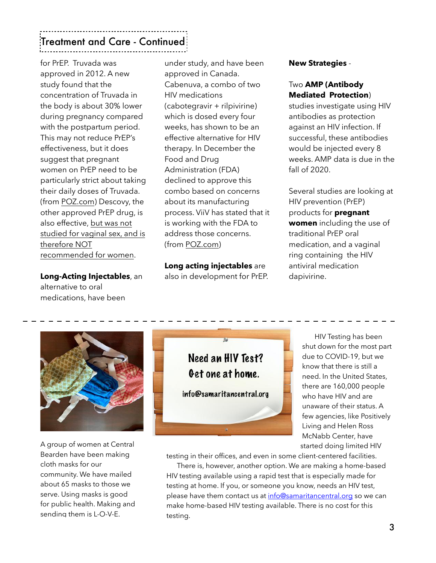## Treatment and Care - Continued

for PrEP. Truvada was approved in 2012. A new study found that the concentration of Truvada in the body is about 30% lower during pregnancy compared with the postpartum period. This may not reduce PrEP's effectiveness, but it does suggest that pregnant women on PrEP need to be particularly strict about taking their daily doses of Truvada. (from [POZ.com\)](http://POZ.com) Descovy, the other approved PrEP drug, is also effective, but was not studied for vaginal sex, and is therefore NOT recommended for women.

**Long-Acting Injectables**, an alternative to oral medications, have been

under study, and have been approved in Canada. Cabenuva, a combo of two HIV medications (cabotegravir + rilpivirine) which is dosed every four weeks, has shown to be an effective alternative for HIV therapy. In December the Food and Drug Administration (FDA) declined to approve this combo based on concerns about its manufacturing process. ViiV has stated that it is working with the FDA to address those concerns. (from [POZ.com](http://POZ.com))

**Long acting injectables** are also in development for PrEP. **New Strategies** -

#### Two **AMP (Antibody Mediated Protection**)

studies investigate using HIV antibodies as protection against an HIV infection. If successful, these antibodies would be injected every 8 weeks. AMP data is due in the fall of 2020.

Several studies are looking at HIV prevention (PrEP) products for **pregnant women** including the use of traditional PrEP oral medication, and a vaginal ring containing the HIV antiviral medication dapivirine.



A group of women at Central Bearden have been making cloth masks for our community. We have mailed about 65 masks to those we serve. Using masks is good for public health. Making and sending them is L-O-V-E.



 HIV Testing has been shut down for the most part due to COVID-19, but we know that there is still a need. In the United States, there are 160,000 people who have HIV and are unaware of their status. A few agencies, like Positively Living and Helen Ross McNabb Center, have started doing limited HIV

testing in their offices, and even in some client-centered facilities.

 There is, however, another option. We are making a home-based HIV testing available using a rapid test that is especially made for testing at home. If you, or someone you know, needs an HIV test, please have them contact us at [info@samaritancentral.org](mailto:info@samaritancentral.org) so we can make home-based HIV testing available. There is no cost for this testing.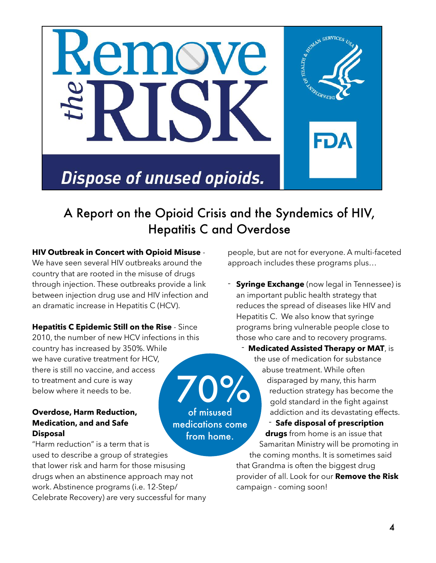

## A Report on the Opioid Crisis and the Syndemics of HIV, Hepatitis C and Overdose

of misused

**HIV Outbreak in Concert with Opioid Misuse** - We have seen several HIV outbreaks around the country that are rooted in the misuse of drugs through injection. These outbreaks provide a link between injection drug use and HIV infection and an dramatic increase in Hepatitis C (HCV).

**Hepatitis C Epidemic Still on the Rise** - Since 2010, the number of new HCV infections in this country has increased by 350%. While we have curative treatment for HCV, there is still no vaccine, and access to treatment and cure is way below where it needs to be. 70%

#### **Overdose, Harm Reduction, Medication, and and Safe Disposal**

"Harm reduction" is a term that is used to describe a group of strategies that lower risk and harm for those misusing drugs when an abstinence approach may not work. Abstinence programs (i.e. 12-Step/ Celebrate Recovery) are very successful for many from home.

people, but are not for everyone. A multi-faceted approach includes these programs plus…

**Syringe Exchange** (now legal in Tennessee) is an important public health strategy that reduces the spread of diseases like HIV and Hepatitis C. We also know that syringe programs bring vulnerable people close to those who care and to recovery programs.

- **Medicated Assisted Therapy or MAT**, is the use of medication for substance abuse treatment. While often disparaged by many, this harm reduction strategy has become the gold standard in the fight against addiction and its devastating effects. - **Safe disposal of prescription drugs** from home is an issue that Samaritan Ministry will be promoting in the coming months. It is sometimes said medications come

that Grandma is often the biggest drug provider of all. Look for our **Remove the Risk** campaign - coming soon!

4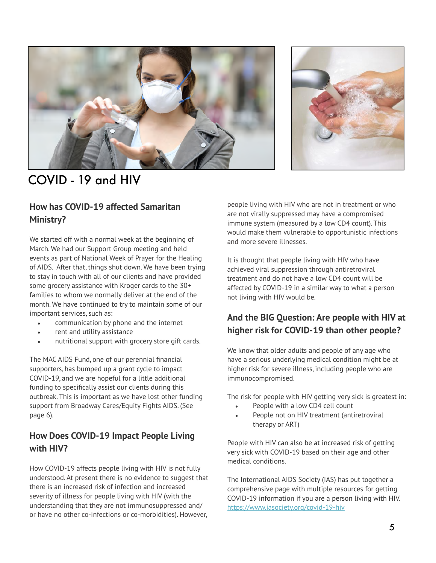



# COVID - 19 and HIV

### **How has COVID-19 affected Samaritan Ministry?**

We started off with a normal week at the beginning of March. We had our Support Group meeting and held events as part of National Week of Prayer for the Healing of AIDS. After that, things shut down. We have been trying to stay in touch with all of our clients and have provided some grocery assistance with Kroger cards to the 30+ families to whom we normally deliver at the end of the month. We have continued to try to maintain some of our important services, such as:

- communication by phone and the internet
- rent and utility assistance
- nutritional support with grocery store gift cards.

The MAC AIDS Fund, one of our perennial financial supporters, has bumped up a grant cycle to impact COVID-19, and we are hopeful for a little additional funding to specifically assist our clients during this outbreak. This is important as we have lost other funding support from Broadway Cares/Equity Fights AIDS. (See page 6).

### **How Does COVID-19 Impact People Living with HIV?**

How COVID-19 affects people living with HIV is not fully understood. At present there is no evidence to suggest that there is an increased risk of infection and increased severity of illness for people living with HIV (with the understanding that they are not immunosuppressed and/ or have no other co-infections or co-morbidities). However,

people living with HIV who are not in treatment or who are not virally suppressed may have a compromised immune system (measured by a low CD4 count). This would make them vulnerable to opportunistic infections and more severe illnesses.

It is thought that people living with HIV who have achieved viral suppression through antiretroviral treatment and do not have a low CD4 count will be affected by COVID-19 in a similar way to what a person not living with HIV would be.

### **And the BIG Question: Are people with HIV at higher risk for COVID-19 than other people?**

We know that older adults and people of any age who have a serious underlying medical condition might be at higher risk for severe illness, including people who are immunocompromised.

The risk for people with HIV getting very sick is greatest in:

- People with a low CD4 cell count
- People not on HIV treatment (antiretroviral therapy or ART)

People with HIV can also be at increased risk of getting very sick with COVID-19 based on their age and other medical conditions.

The International AIDS Society (IAS) has put together a comprehensive page with multiple resources for getting COVID-19 information if you are a person living with HIV. <https://www.iasociety.org/covid-19-hiv>